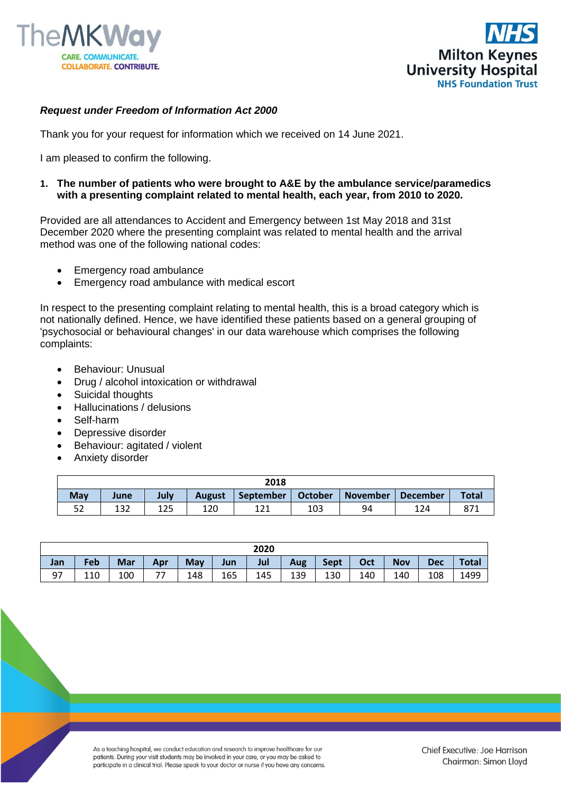



## *Request under Freedom of Information Act 2000*

Thank you for your request for information which we received on 14 June 2021.

I am pleased to confirm the following.

## **1. The number of patients who were brought to A&E by the ambulance service/paramedics with a presenting complaint related to mental health, each year, from 2010 to 2020.**

Provided are all attendances to Accident and Emergency between 1st May 2018 and 31st December 2020 where the presenting complaint was related to mental health and the arrival method was one of the following national codes:

- Emergency road ambulance
- Emergency road ambulance with medical escort

In respect to the presenting complaint relating to mental health, this is a broad category which is not nationally defined. Hence, we have identified these patients based on a general grouping of 'psychosocial or behavioural changes' in our data warehouse which comprises the following complaints:

- Behaviour: Unusual
- Drug / alcohol intoxication or withdrawal
- Suicidal thoughts
- Hallucinations / delusions
- Self-harm
- Depressive disorder
- Behaviour: agitated / violent
- Anxiety disorder

| 2018       |      |      |               |           |                |                                    |     |              |  |  |
|------------|------|------|---------------|-----------|----------------|------------------------------------|-----|--------------|--|--|
| <b>May</b> | June | July | <b>August</b> | September | <b>October</b> | <b>November</b><br><b>December</b> |     | <b>Total</b> |  |  |
| 52         | 132  | 125  | 120           | 171       | 103            | 94                                 | 124 |              |  |  |

| 2020 |     |     |     |            |     |     |     |             |     |            |            |              |
|------|-----|-----|-----|------------|-----|-----|-----|-------------|-----|------------|------------|--------------|
| Jan  | Feb | Mar | Apr | <b>May</b> | Jun | Jul | Aug | <b>Sept</b> | Oct | <b>Nov</b> | <b>Dec</b> | <b>Total</b> |
| -97  | 110 | 100 | ——  | 148        | 165 | 145 | 139 | 130         | 140 | 140        | 108        | 1499         |

As a teaching hospital, we conduct education and research to improve healthcare for our patients. During your visit students may be involved in your care, or you may be asked to participate in a clinical trial. Please speak to your doctor or nurse if you have any concerns.